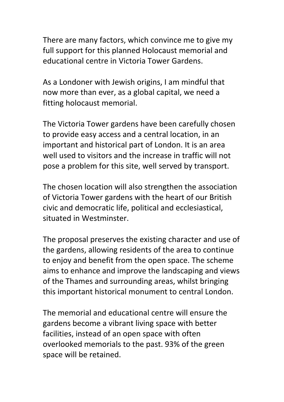There are many factors, which convince me to give my full support for this planned Holocaust memorial and educational centre in Victoria Tower Gardens.

As a Londoner with Jewish origins, I am mindful that now more than ever, as a global capital, we need a fitting holocaust memorial.

The Victoria Tower gardens have been carefully chosen to provide easy access and a central location, in an important and historical part of London. It is an area well used to visitors and the increase in traffic will not pose a problem for this site, well served by transport.

The chosen location will also strengthen the association of Victoria Tower gardens with the heart of our British civic and democratic life, political and ecclesiastical, situated in Westminster.

The proposal preserves the existing character and use of the gardens, allowing residents of the area to continue to enjoy and benefit from the open space. The scheme aims to enhance and improve the landscaping and views of the Thames and surrounding areas, whilst bringing this important historical monument to central London.

The memorial and educational centre will ensure the gardens become a vibrant living space with better facilities, instead of an open space with often overlooked memorials to the past. 93% of the green space will be retained.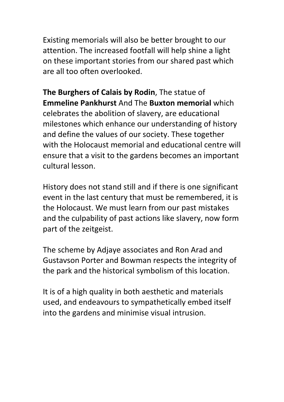Existing memorials will also be better brought to our attention. The increased footfall will help shine a light on these important stories from our shared past which are all too often overlooked.

**The Burghers of Calais by Rodin**, The statue of **Emmeline Pankhurst** And The **Buxton memorial** which celebrates the abolition of slavery, are educational milestones which enhance our understanding of history and define the values of our society. These together with the Holocaust memorial and educational centre will ensure that a visit to the gardens becomes an important cultural lesson.

History does not stand still and if there is one significant event in the last century that must be remembered, it is the Holocaust. We must learn from our past mistakes and the culpability of past actions like slavery, now form part of the zeitgeist.

The scheme by Adjaye associates and Ron Arad and Gustavson Porter and Bowman respects the integrity of the park and the historical symbolism of this location.

It is of a high quality in both aesthetic and materials used, and endeavours to sympathetically embed itself into the gardens and minimise visual intrusion.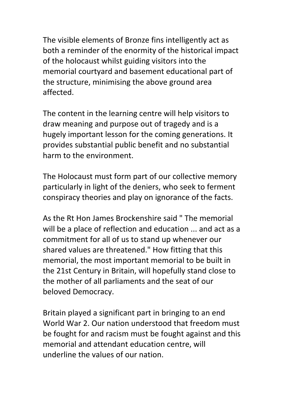The visible elements of Bronze fins intelligently act as both a reminder of the enormity of the historical impact of the holocaust whilst guiding visitors into the memorial courtyard and basement educational part of the structure, minimising the above ground area affected.

The content in the learning centre will help visitors to draw meaning and purpose out of tragedy and is a hugely important lesson for the coming generations. It provides substantial public benefit and no substantial harm to the environment.

The Holocaust must form part of our collective memory particularly in light of the deniers, who seek to ferment conspiracy theories and play on ignorance of the facts.

As the Rt Hon James Brockenshire said " The memorial will be a place of reflection and education ... and act as a commitment for all of us to stand up whenever our shared values are threatened." How fitting that this memorial, the most important memorial to be built in the 21st Century in Britain, will hopefully stand close to the mother of all parliaments and the seat of our beloved Democracy.

Britain played a significant part in bringing to an end World War 2. Our nation understood that freedom must be fought for and racism must be fought against and this memorial and attendant education centre, will underline the values of our nation.